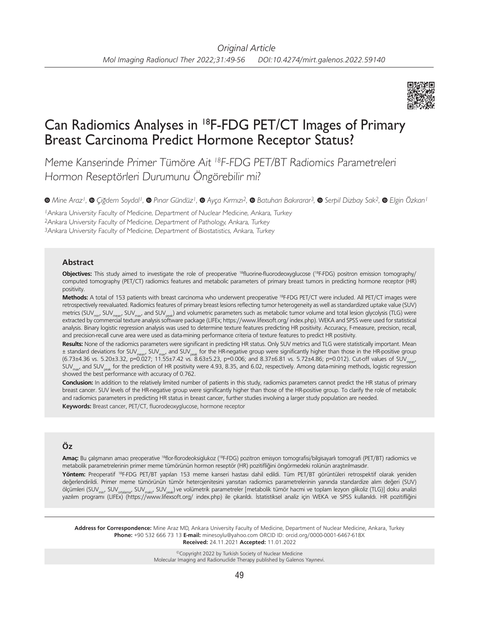

## Can Radiomics Analyses in 18F-FDG PET/CT Images of Primary Breast Carcinoma Predict Hormone Receptor Status?

Meme Kanserinde Primer Tümöre Ait <sup>18</sup>F-FDG PET/BT Radiomics Parametreleri Hormon Reseptörleri Durumunu Öngörebilir mi?

*Mine Araz1, Çiğdem Soydal1, Pınar Gündüz1,Ayça Kırmızı2, Batuhan Bakırarar3, Serpil Dizbay Sak2,Elgin Özkan1*

<sup>1</sup>Ankara University Faculty of Medicine, Department of Nuclear Medicine, Ankara, Turkey <sup>2</sup>Ankara University Faculty of Medicine, Department of Pathology, Ankara, Turkey <sup>3</sup>Ankara University Faculty of Medicine, Department of Biostatistics, Ankara, Turkey

### **Abstract**

**Objectives:** This study aimed to investigate the role of preoperative 18fluorine-fluorodeoxyglucose (18F-FDG) positron emission tomography/ computed tomography (PET/CT) radiomics features and metabolic parameters of primary breast tumors in predicting hormone receptor (HR) positivity.

**Methods:** A total of 153 patients with breast carcinoma who underwent preoperative 18F-FDG PET/CT were included. All PET/CT images were retrospectively reevaluated. Radiomics features of primary breast lesions reflecting tumor heterogeneity as well as standardized uptake value (SUV) metrics (SUV<sub>min</sub>, SUV<sub>mean</sub>, SUV<sub>mean</sub>, and SUV<sub>neak</sub>) and volumetric parameters such as metabolic tumor volume and total lesion glycolysis (TLG) were extracted by commercial texture analysis software package (LIFEx; https://www.lifexsoft.org/ index.php). WEKA and SPSS were used for statistical analysis. Binary logistic regression analysis was used to determine texture features predicting HR positivity. Accuracy, F-measure, precision, recall, and precision-recall curve area were used as data-mining performance criteria of texture features to predict HR positivity.

**Results:** None of the radiomics parameters were significant in predicting HR status. Only SUV metrics and TLG were statistically important. Mean  $\pm$  standard deviations for SUV<sub>mean</sub>, SUV<sub>mean</sub>, and SUV<sub>meak</sub> for the HR-negative group were significantly higher than those in the HR-positive group  $(6.73\pm4.36$  vs. 5.20 $\pm$ 3.32, p=0.027; 11.55 $\pm$ 7.42 vs. 8.63 $\pm$ 5.23, p=0.006; and 8.37 $\pm$ 6.81 vs. 5.72 $\pm$ 4.86; p=0.012). Cut-off values of SUV $_{\ldots}$  $SUV<sub>max</sub>$  and SUV<sub>peak</sub> for the prediction of HR positivity were 4.93, 8.35, and 6.02, respectively. Among data-mining methods, logistic regression showed the best performance with accuracy of 0.762.

**Conclusion:** In addition to the relatively limited number of patients in this study, radiomics parameters cannot predict the HR status of primary breast cancer. SUV levels of the HR-negative group were significantly higher than those of the HR-positive group. To clarify the role of metabolic and radiomics parameters in predicting HR status in breast cancer, further studies involving a larger study population are needed. **Keywords:** Breast cancer, PET/CT, fluorodeoxyglucose, hormone receptor

# **Öz**

**Amaç:** Bu çalışmanın amacı preoperative 18flor-florodeoksiglukoz (18F-FDG) pozitron emisyon tomografisi/bilgisayarlı tomografi (PET/BT) radiomics ve metabolik parametrelerinin primer meme tümörünün hormon reseptör (HR) pozitifliğini öngörmedeki rolünün araştırılmasıdır.

**Yöntem:** Preoperatif 18F-FDG PET/BT yapılan 153 meme kanseri hastası dahil edildi. Tüm PET/BT görüntüleri retrospektif olarak yeniden değerlendirildi. Primer meme tümörünün tümör heterojenitesini yansıtan radiomics parametrelerinin yanında standardize alım değeri (SUV) ölçümleri (SUV<sub>min</sub>, SUV<sub>makma</sub>, SUV<sub>maks</sub>, SUV<sub>meak</sub>) ve volümetrik parametreler [metabolik tümör hacmi ve toplam lezyon glikoliz (TLG)] doku analizi yazılım programı (LIFEx) (https://www.lifexsoft.org/ index.php) ile çıkarıldı. İstatistiksel analiz için WEKA ve SPSS kullanıldı. HR pozitifliğini

**Address for Correspondence:** Mine Araz MD, Ankara University Faculty of Medicine, Department of Nuclear Medicine, Ankara, Turkey **Phone:** +90 532 666 73 13 **E-mail:** minesoylu@yahoo.com ORCID ID: orcid.org/0000-0001-6467-618X **Received:** 24.11.2021 **Accepted:** 11.01.2022

> ©Copyright 2022 by Turkish Society of Nuclear Medicine Molecular Imaging and Radionuclide Therapy published by Galenos Yayınevi.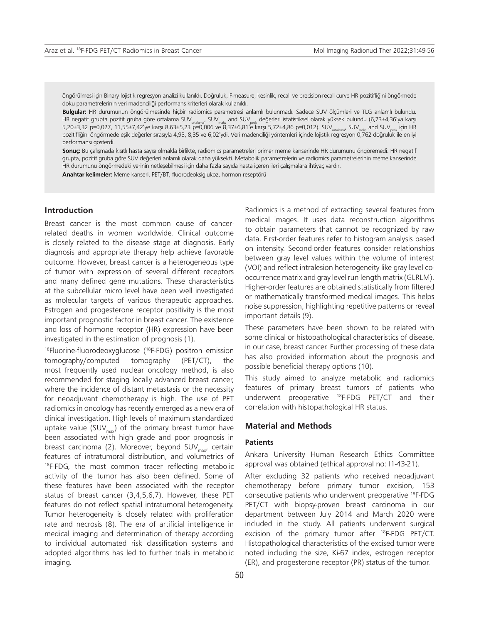öngörülmesi için Binary lojistik regresyon analizi kullanıldı. Doğruluk, F-measure, kesinlik, recall ve precision-recall curve HR pozitifliğini öngörmede doku parametrelerinin veri madenciliği performans kriterleri olarak kullanıldı.

**Bulgular:** HR durumunun öngörülmesinde hiçbir radiomics parametresi anlamlı bulunmadı. Sadece SUV ölçümleri ve TLG anlamlı bulundu. HR negatif grupta pozitif gruba göre ortalama SUV<sub>natiama</sub>, SUV<sub>maks</sub> and SUV<sub>nak</sub> değerleri istatistiksel olarak yüksek bulundu (6,73±4,36'ya karşı 5,20±3,32 p=0,027, 11,55±7,42'ye karşı 8,63±5,23 p=0,006 ve 8,37±6,81'e karşı 5,72±4,86 p=0,012). SUV<sub>ortalama</sub>, SUV<sub>maks</sub> and SUV<sub>peak</sub> için HR pozitifliğini öngörmede eşik değerler sırasıyla 4,93, 8,35 ve 6,02'ydi. Veri madenciliği yöntemleri içinde lojistik regresyon 0,762 doğruluk ile en iyi performansı gösterdi.

**Sonuç:** Bu çalışmada kısıtlı hasta sayısı olmakla birlikte, radiomics parametreleri primer meme kanserinde HR durumunu öngöremedi. HR negatif grupta, pozitif gruba göre SUV değerleri anlamlı olarak daha yüksekti. Metabolik parametrelerin ve radiomics parametrelerinin meme kanserinde HR durumunu öngörmedeki yerinin netleşebilmesi için daha fazla sayıda hasta içeren ileri çalışmalara ihtiyaç vardır.

**Anahtar kelimeler:** Meme kanseri, PET/BT, fluorodeoksiglukoz, hormon reseptörü

## **Introduction**

Breast cancer is the most common cause of cancerrelated deaths in women worldwide. Clinical outcome is closely related to the disease stage at diagnosis. Early diagnosis and appropriate therapy help achieve favorable outcome. However, breast cancer is a heterogeneous type of tumor with expression of several different receptors and many defined gene mutations. These characteristics at the subcellular micro level have been well investigated as molecular targets of various therapeutic approaches. Estrogen and progesterone receptor positivity is the most important prognostic factor in breast cancer. The existence and loss of hormone receptor (HR) expression have been investigated in the estimation of prognosis (1).

<sup>18</sup>Fluorine-fluorodeoxyglucose (<sup>18</sup>F-FDG) positron emission tomography/computed tomography (PET/CT), the most frequently used nuclear oncology method, is also recommended for staging locally advanced breast cancer, where the incidence of distant metastasis or the necessity for neoadjuvant chemotherapy is high. The use of PET radiomics in oncology has recently emerged as a new era of clinical investigation. High levels of maximum standardized uptake value (SUV $_{max}$ ) of the primary breast tumor have been associated with high grade and poor prognosis in breast carcinoma (2). Moreover, beyond SUV<sub>max</sub>, certain features of intratumoral distribution, and volumetrics of <sup>18</sup>F-FDG, the most common tracer reflecting metabolic activity of the tumor has also been defined. Some of these features have been associated with the receptor status of breast cancer (3,4,5,6,7). However, these PET features do not reflect spatial intratumoral heterogeneity. Tumor heterogeneity is closely related with proliferation rate and necrosis (8). The era of artificial intelligence in medical imaging and determination of therapy according to individual automated risk classification systems and adopted algorithms has led to further trials in metabolic imaging.

Radiomics is a method of extracting several features from medical images. It uses data reconstruction algorithms to obtain parameters that cannot be recognized by raw data. First-order features refer to histogram analysis based on intensity. Second-order features consider relationships between gray level values within the volume of interest (VOI) and reflect intralesion heterogeneity like gray level cooccurrence matrix and gray level run-length matrix (GLRLM). Higher-order features are obtained statistically from filtered or mathematically transformed medical images. This helps noise suppression, highlighting repetitive patterns or reveal important details (9).

These parameters have been shown to be related with some clinical or histopathological characteristics of disease, in our case, breast cancer. Further processing of these data has also provided information about the prognosis and possible beneficial therapy options (10).

This study aimed to analyze metabolic and radiomics features of primary breast tumors of patients who underwent preoperative 18F-FDG PET/CT and their correlation with histopathological HR status.

## **Material and Methods**

### **Patients**

Ankara University Human Research Ethics Committee approval was obtained (ethical approval no: I1-43-21).

After excluding 32 patients who received neoadjuvant chemotherapy before primary tumor excision, 153 consecutive patients who underwent preoperative 18F-FDG PET/CT with biopsy-proven breast carcinoma in our department between July 2014 and March 2020 were included in the study. All patients underwent surgical excision of the primary tumor after 18F-FDG PET/CT. Histopathological characteristics of the excised tumor were noted including the size, Ki-67 index, estrogen receptor (ER), and progesterone receptor (PR) status of the tumor.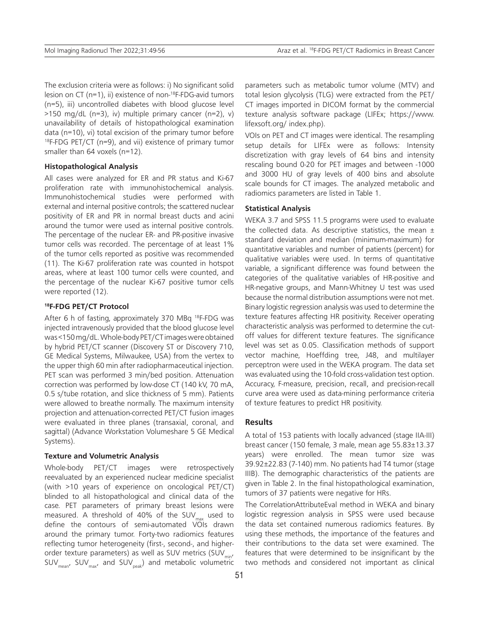The exclusion criteria were as follows: i) No significant solid lesion on CT (n=1), ii) existence of non-18F-FDG-avid tumors (n=5), iii) uncontrolled diabetes with blood glucose level  $>150$  mg/dL (n=3), iv) multiple primary cancer (n=2), v) unavailability of details of histopathological examination data (n=10), vi) total excision of the primary tumor before  $18F-FDG PET/CT (n=9)$ , and vii) existence of primary tumor smaller than 64 voxels (n=12).

## **Histopathological Analysis**

All cases were analyzed for ER and PR status and Ki-67 proliferation rate with immunohistochemical analysis. Immunohistochemical studies were performed with external and internal positive controls; the scattered nuclear positivity of ER and PR in normal breast ducts and acini around the tumor were used as internal positive controls. The percentage of the nuclear ER- and PR-positive invasive tumor cells was recorded. The percentage of at least 1% of the tumor cells reported as positive was recommended (11). The Ki-67 proliferation rate was counted in hotspot areas, where at least 100 tumor cells were counted, and the percentage of the nuclear Ki-67 positive tumor cells were reported (12).

#### **18F-FDG PET/CT Protocol**

After 6 h of fasting, approximately 370 MBq <sup>18</sup>F-FDG was injected intravenously provided that the blood glucose level was <150 mg/dL. Whole-body PET/CT images were obtained by hybrid PET/CT scanner (Discovery ST or Discovery 710, GE Medical Systems, Milwaukee, USA) from the vertex to the upper thigh 60 min after radiopharmaceutical injection. PET scan was performed 3 min/bed position. Attenuation correction was performed by low-dose CT (140 kV, 70 mA, 0.5 s/tube rotation, and slice thickness of 5 mm). Patients were allowed to breathe normally. The maximum intensity projection and attenuation-corrected PET/CT fusion images were evaluated in three planes (transaxial, coronal, and sagittal) (Advance Workstation Volumeshare 5 GE Medical Systems).

#### **Texture and Volumetric Analysis**

Whole-body PET/CT images were retrospectively reevaluated by an experienced nuclear medicine specialist (with >10 years of experience on oncological PET/CT) blinded to all histopathological and clinical data of the case. PET parameters of primary breast lesions were measured. A threshold of 40% of the SUV<sub>max</sub> used to define the contours of semi-automated VOIs drawn around the primary tumor. Forty-two radiomics features reflecting tumor heterogeneity (first-, second-, and higherorder texture parameters) as well as SUV metrics (SUV<sub>min</sub>,  $SUV_{mean'}$ ,  $SUV_{max'}$  and  $SUV_{peak}$ ) and metabolic volumetric

parameters such as metabolic tumor volume (MTV) and total lesion glycolysis (TLG) were extracted from the PET/ CT images imported in DICOM format by the commercial texture analysis software package (LIFEx; https://www. lifexsoft.org/ index.php).

VOIs on PET and CT images were identical. The resampling setup details for LIFEx were as follows: Intensity discretization with gray levels of 64 bins and intensity rescaling bound 0-20 for PET images and between -1000 and 3000 HU of gray levels of 400 bins and absolute scale bounds for CT images. The analyzed metabolic and radiomics parameters are listed in Table 1.

## **Statistical Analysis**

WEKA 3.7 and SPSS 11.5 programs were used to evaluate the collected data. As descriptive statistics, the mean  $\pm$ standard deviation and median (minimum-maximum) for quantitative variables and number of patients (percent) for qualitative variables were used. In terms of quantitative variable, a significant difference was found between the categories of the qualitative variables of HR-positive and HR-negative groups, and Mann-Whitney U test was used because the normal distribution assumptions were not met. Binary logistic regression analysis was used to determine the texture features affecting HR positivity. Receiver operating characteristic analysis was performed to determine the cutoff values for different texture features. The significance level was set as 0.05. Classification methods of support vector machine, Hoeffding tree, J48, and multilayer perceptron were used in the WEKA program. The data set was evaluated using the 10-fold cross-validation test option. Accuracy, F-measure, precision, recall, and precision-recall curve area were used as data-mining performance criteria of texture features to predict HR positivity.

## **Results**

A total of 153 patients with locally advanced (stage IIA-III) breast cancer (150 female, 3 male, mean age 55.83±13.37 years) were enrolled. The mean tumor size was 39.92±22.83 (7-140) mm. No patients had T4 tumor (stage IIIB). The demographic characteristics of the patients are given in Table 2. In the final histopathological examination, tumors of 37 patients were negative for HRs.

The CorrelationAttributeEval method in WEKA and binary logistic regression analysis in SPSS were used because the data set contained numerous radiomics features. By using these methods, the importance of the features and their contributions to the data set were examined. The features that were determined to be insignificant by the two methods and considered not important as clinical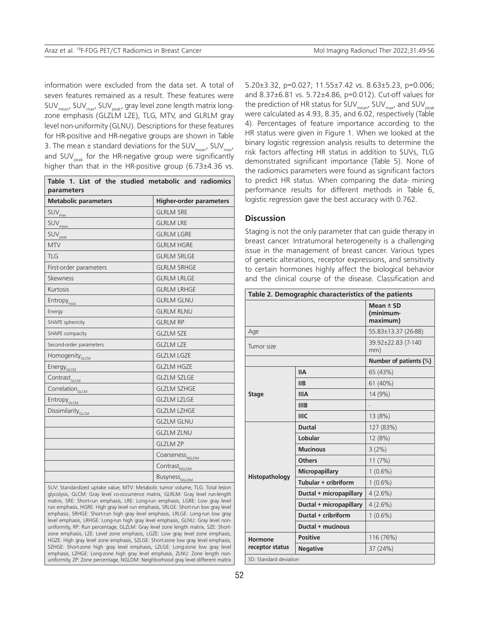information were excluded from the data set. A total of seven features remained as a result. These features were  $SUV_{\text{mean}}$ ,  $SUV_{\text{max}}$ ,  $SUV_{\text{peak}}$ , gray level zone length matrix longzone emphasis (GLZLM LZE), TLG, MTV, and GLRLM gray level non-uniformity (GLNU). Descriptions for these features for HR-positive and HR-negative groups are shown in Table 3. The mean  $\pm$  standard deviations for the SUV<sub>mon</sub>, SUV<sub>mon</sub>, and SUV<sub>neak</sub> for the HR-negative group were significantly higher than that in the HR-positive group (6.73±4.36 vs.

| Table 1. List of the studied metabolic and radiomics<br>parameters |                                  |  |  |  |  |  |  |
|--------------------------------------------------------------------|----------------------------------|--|--|--|--|--|--|
| <b>Metabolic parameters</b>                                        | <b>Higher-order parameters</b>   |  |  |  |  |  |  |
| SUV <sub>max</sub>                                                 | <b>GLRLM SRE</b>                 |  |  |  |  |  |  |
| SUV <sub>mean</sub>                                                | <b>GLRLM LRE</b>                 |  |  |  |  |  |  |
| SUV <sub>peak</sub>                                                | <b>GLRLM LGRE</b>                |  |  |  |  |  |  |
| <b>MTV</b>                                                         | <b>GLRLM HGRE</b>                |  |  |  |  |  |  |
| <b>TLG</b>                                                         | <b>GLRLM SRLGE</b>               |  |  |  |  |  |  |
| First-order parameters                                             | <b>GLRLM SRHGE</b>               |  |  |  |  |  |  |
| Skewness                                                           | <b>GLRLM LRLGE</b>               |  |  |  |  |  |  |
| Kurtosis                                                           | <b>GLRLM LRHGE</b>               |  |  |  |  |  |  |
| <b>Entropy</b> <sub>histo</sub>                                    | <b>GLRLM GLNU</b>                |  |  |  |  |  |  |
| Energy                                                             | <b>GLRLM RLNU</b>                |  |  |  |  |  |  |
| SHAPE sphericity                                                   | <b>GLRLM RP</b>                  |  |  |  |  |  |  |
| SHAPE compacity                                                    | <b>GLZLM SZE</b>                 |  |  |  |  |  |  |
| Second-order parameters                                            | <b>GLZLM LZE</b>                 |  |  |  |  |  |  |
| Homogenity <sub>GLCM</sub>                                         | <b>GLZLM LGZE</b>                |  |  |  |  |  |  |
| Energy <sub>GLCM</sub>                                             | <b>GLZLM HGZE</b>                |  |  |  |  |  |  |
| Contrast <sub>GLCM</sub>                                           | <b>GLZLM SZLGE</b>               |  |  |  |  |  |  |
| Correlation <sub>GLCM</sub>                                        | <b>GLZLM SZHGE</b>               |  |  |  |  |  |  |
| Entropy <sub>GLCM</sub>                                            | <b>GLZLM LZLGE</b>               |  |  |  |  |  |  |
| Dissimilarity <sub>GLCM</sub>                                      | <b>GLZLM LZHGE</b>               |  |  |  |  |  |  |
|                                                                    | <b>GLZLM GLNU</b>                |  |  |  |  |  |  |
|                                                                    | <b>GLZLM ZLNU</b>                |  |  |  |  |  |  |
|                                                                    | <b>GLZLM ZP</b>                  |  |  |  |  |  |  |
|                                                                    | Coarseness <sub>NGLDM</sub>      |  |  |  |  |  |  |
|                                                                    | Contrast <sub>NGLDM</sub>        |  |  |  |  |  |  |
|                                                                    | <b>Busyness</b> <sub>NGLDM</sub> |  |  |  |  |  |  |

SUV: Standardized uptake value, MTV: Metabolic tumor volume, TLG: Total lesion glycolysis, GLCM: Gray level co-occurrence matrix, GLRLM: Gray level run-length matrix, SRE: Short-run emphasis, LRE: Long-run emphasis, LGRE: Low gray level run emphasis, HGRE: High gray level run emphasis, SRLGE: Short-run low gray level emphasis, SRHGE: Short-run high gray level emphasis, LRLGE: Long-run low gray level emphasis, LRHGE: Long-run high gray level emphasis, GLNU: Gray level nonuniformity, RP: Run percentage, GLZLM: Gray level zone length matrix, SZE: Shortzone emphasis, LZE: Level zone emphasis, LGZE: Low gray level zone emphasis, HGZE: High gray level zone emphasis, SZLGE: Short-zone low gray level emphasis, SZHGE: Short-zone high gray level emphasis, LZLGE: Long-zone low gray level emphasis, LZHGE: Long-zone high gray level emphasis, ZLNU: Zone length nonuniformity, ZP: Zone percentage, NGLDM: Neighborhood gray level different matrix

5.20±3.32, p=0.027; 11.55±7.42 vs. 8.63±5.23, p=0.006; and 8.37±6.81 vs. 5.72±4.86, p=0.012). Cut-off values for the prediction of HR status for SUV $_{\text{mean}}$ , SUV $_{\text{max}}$  and SUV<sub>neak</sub> were calculated as 4.93, 8.35, and 6.02, respectively (Table 4). Percentages of feature importance according to the HR status were given in Figure 1. When we looked at the binary logistic regression analysis results to determine the risk factors affecting HR status in addition to SUVs, TLG demonstrated significant importance (Table 5). None of the radiomics parameters were found as significant factors to predict HR status. When comparing the data- mining performance results for different methods in Table 6, logistic regression gave the best accuracy with 0.762.

## **Discussion**

Staging is not the only parameter that can guide therapy in breast cancer. Intratumoral heterogeneity is a challenging issue in the management of breast cancer. Various types of genetic alterations, receptor expressions, and sensitivity to certain hormones highly affect the biological behavior and the clinical course of the disease. Classification and

| Table 2. Demographic characteristics of the patients |                         |                                      |  |  |
|------------------------------------------------------|-------------------------|--------------------------------------|--|--|
|                                                      |                         | Mean $±$ SD<br>(minimum-<br>maximum) |  |  |
| Age                                                  |                         | 55.83±13.37 (26-88)                  |  |  |
| Tumor size                                           |                         | 39.92±22.83 (7-140<br>mm)            |  |  |
|                                                      | Number of patients (%)  |                                      |  |  |
|                                                      | <b>IIA</b>              | 65 (43%)                             |  |  |
|                                                      | <b>IIB</b>              | 61 (40%)                             |  |  |
| <b>Stage</b>                                         | <b>IIIA</b>             | 14 (9%)                              |  |  |
|                                                      | <b>IIIB</b>             |                                      |  |  |
|                                                      | <b>IIIC</b>             | 13 (8%)                              |  |  |
|                                                      | <b>Ductal</b>           | 127 (83%)                            |  |  |
|                                                      | Lobular                 | 12 (8%)                              |  |  |
|                                                      | <b>Mucinous</b>         | 3(2%)                                |  |  |
|                                                      | <b>Others</b>           | 11(7%)                               |  |  |
|                                                      | <b>Micropapillary</b>   | $1(0.6\%)$                           |  |  |
| Histopathology                                       | Tubular + cribriform    | $1(0.6\%)$                           |  |  |
|                                                      | Ductal + micropapillary | 4(2.6%)                              |  |  |
|                                                      | Ductal + micropapillary | 4(2.6%)                              |  |  |
|                                                      | Ductal + cribriform     | $1(0.6\%)$                           |  |  |
|                                                      | Ductal + mucinous       |                                      |  |  |
| Hormone                                              | <b>Positive</b>         | 116 (76%)                            |  |  |
| receptor status                                      | <b>Negative</b>         | 37 (24%)                             |  |  |
| SD: Standard deviation                               |                         |                                      |  |  |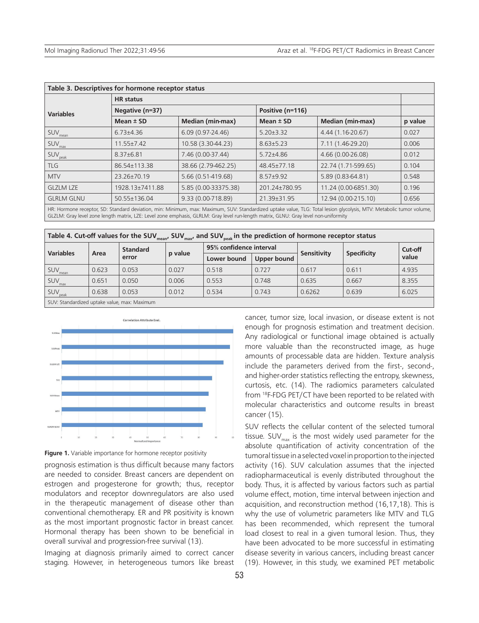| Table 3. Descriptives for hormone receptor status |                    |                         |                  |                         |         |  |  |  |
|---------------------------------------------------|--------------------|-------------------------|------------------|-------------------------|---------|--|--|--|
| <b>HR</b> status                                  |                    |                         |                  |                         |         |  |  |  |
| <b>Variables</b>                                  | Negative (n=37)    |                         | Positive (n=116) |                         |         |  |  |  |
|                                                   | Mean $\pm$ SD      | <b>Median (min-max)</b> | Mean $\pm$ SD    | <b>Median (min-max)</b> | p value |  |  |  |
| $\mathsf{SUV}_\mathsf{mean}$                      | $6.73{\pm}4.36$    | $6.09(0.97-24.46)$      | $5.20 \pm 3.32$  | 4.44 (1.16-20.67)       | 0.027   |  |  |  |
| $\mathsf{SUV}_\mathsf{max}$                       | $11.55 \pm 7.42$   | 10.58 (3.30-44.23)      | $8.63 \pm 5.23$  | 7.11 (1.46-29.20)       | 0.006   |  |  |  |
| SUV <sub>peak</sub>                               | $8.37 \pm 6.81$    | 7.46 (0.00-37.44)       | $5.72 \pm 4.86$  | 4.66 (0.00-26.08)       | 0.012   |  |  |  |
| <b>TLG</b>                                        | 86.54±113.38       | 38.66 (2.79-462.25)     | 48.45±77.18      | 22.74 (1.71-599.65)     | 0.104   |  |  |  |
| <b>MTV</b>                                        | 23.26±70.19        | 5.66 (0.51-419.68)      | $8.57 + 9.92$    | 5.89 (0.83-64.81)       | 0.548   |  |  |  |
| <b>GLZLM LZE</b>                                  | 1928.13±7411.88    | 5.85 (0.00-33375.38)    | 201.24±780.95    | 11.24 (0.00-6851.30)    | 0.196   |  |  |  |
| <b>GLRLM GLNU</b>                                 | $50.55 \pm 136.04$ | 9.33 (0.00-718.89)      | 21.39±31.95      | 12.94 (0.00-215.10)     | 0.656   |  |  |  |
|                                                   |                    |                         |                  |                         |         |  |  |  |

HR: Hormone receptor, SD: Standard deviation, min: Minimum, max: Maximum, SUV: Standardized uptake value, TLG: Total lesion glycolysis, MTV: Metabolic tumor volume, GLZLM: Gray level zone length matrix, LZE: Level zone emphasis, GLRLM: Gray level run-length matrix, GLNU: Gray level non-uniformity

| Table 4. Cut-off values for the SUV <sub>mean</sub> , SUV <sub>max</sub> , and SUV <sub>peak</sub> in the prediction of hormone receptor status |       |                 |         |                         |             |             |                    |         |
|-------------------------------------------------------------------------------------------------------------------------------------------------|-------|-----------------|---------|-------------------------|-------------|-------------|--------------------|---------|
| <b>Variables</b><br>Area                                                                                                                        |       | <b>Standard</b> | p value | 95% confidence interval |             | Sensitivity | <b>Specificity</b> | Cut-off |
|                                                                                                                                                 |       | error           |         | Lower bound             | Upper bound |             |                    | value   |
| SUV <sub>mean</sub>                                                                                                                             | 0.623 | 0.053           | 0.027   | 0.518                   | 0.727       | 0.617       | 0.611              | 4.935   |
| $SUV_{max}$                                                                                                                                     | 0.651 | 0.050           | 0.006   | 0.553                   | 0.748       | 0.635       | 0.667              | 8.355   |
| SUV <sub>peak</sub>                                                                                                                             | 0.638 | 0.053           | 0.012   | 0.534                   | 0.743       | 0.6262      | 0.639              | 6.025   |
| SUV: Standardized uptake value, max: Maximum                                                                                                    |       |                 |         |                         |             |             |                    |         |



**Figure 1.** Variable importance for hormone receptor positivity

prognosis estimation is thus difficult because many factors are needed to consider. Breast cancers are dependent on estrogen and progesterone for growth; thus, receptor modulators and receptor downregulators are also used in the therapeutic management of disease other than conventional chemotherapy. ER and PR positivity is known as the most important prognostic factor in breast cancer. Hormonal therapy has been shown to be beneficial in overall survival and progression-free survival (13).

Imaging at diagnosis primarily aimed to correct cancer staging. However, in heterogeneous tumors like breast

cancer, tumor size, local invasion, or disease extent is not enough for prognosis estimation and treatment decision. Any radiological or functional image obtained is actually more valuable than the reconstructed image, as huge amounts of processable data are hidden. Texture analysis include the parameters derived from the first-, second-, and higher-order statistics reflecting the entropy, skewness, curtosis, etc. (14). The radiomics parameters calculated from 18F-FDG PET/CT have been reported to be related with molecular characteristics and outcome results in breast cancer (15).

SUV reflects the cellular content of the selected tumoral tissue. SUV $_{\text{max}}$  is the most widely used parameter for the absolute quantification of activity concentration of the tumoral tissue in a selected voxel in proportion to the injected activity (16). SUV calculation assumes that the injected radiopharmaceutical is evenly distributed throughout the body. Thus, it is affected by various factors such as partial volume effect, motion, time interval between injection and acquisition, and reconstruction method (16,17,18). This is why the use of volumetric parameters like MTV and TLG has been recommended, which represent the tumoral load closest to real in a given tumoral lesion. Thus, they have been advocated to be more successful in estimating disease severity in various cancers, including breast cancer (19). However, in this study, we examined PET metabolic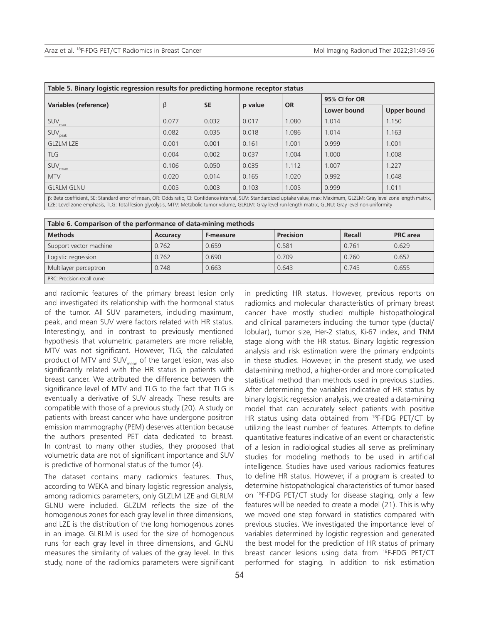| Table 5. Binary logistic regression results for predicting hormone receptor status                                                                       |       |           |         |           |               |             |  |
|----------------------------------------------------------------------------------------------------------------------------------------------------------|-------|-----------|---------|-----------|---------------|-------------|--|
|                                                                                                                                                          | β     | <b>SE</b> | p value | <b>OR</b> | 95% CI for OR |             |  |
| Variables (reference)                                                                                                                                    |       |           |         |           | Lower bound   | Upper bound |  |
| $\mathsf{SUV}_\mathsf{max}$                                                                                                                              | 0.077 | 0.032     | 0.017   | 1.080     | 1.014         | 1.150       |  |
| $\mathsf{SUV}_\mathsf{peak}$                                                                                                                             | 0.082 | 0.035     | 0.018   | 1.086     | 1.014         | 1.163       |  |
| <b>GLZLM LZE</b>                                                                                                                                         | 0.001 | 0.001     | 0.161   | 1.001     | 0.999         | 1.001       |  |
| <b>TLG</b>                                                                                                                                               | 0.004 | 0.002     | 0.037   | 1.004     | 1.000         | 1.008       |  |
| <b>SUV</b><br>mean                                                                                                                                       | 0.106 | 0.050     | 0.035   | 1.112     | 1.007         | 1.227       |  |
| <b>MTV</b>                                                                                                                                               | 0.020 | 0.014     | 0.165   | 1.020     | 0.992         | 1.048       |  |
| <b>GLRLM GLNU</b>                                                                                                                                        | 0.005 | 0.003     | 0.103   | 1.005     | 0.999         | 1.011       |  |
| $\sim$ $\sim$ $\sim$ $\sim$ $\sim$ $\sim$<br>$\mathbf{r}$ , and $\mathbf{r}$ , and $\mathbf{r}$ , and $\mathbf{r}$ , and $\mathbf{r}$ , and $\mathbf{r}$ |       |           |         |           |               |             |  |

β: Beta coefficient, SE: Standard error of mean, OR: Odds ratio, CI: Confidence interval, SUV: Standardized uptake value, max: Maximum, GLZLM: Gray level zone length matrix, LZE: Level zone emphasis, TLG: Total lesion glycolysis, MTV: Metabolic tumor volume, GLRLM: Gray level run-length matrix, GLNU: Gray level non-uniformity

| Table 6. Comparison of the performance of data-mining methods |          |           |                  |        |                 |  |  |  |
|---------------------------------------------------------------|----------|-----------|------------------|--------|-----------------|--|--|--|
| <b>Methods</b>                                                | Accuracy | F-measure | <b>Precision</b> | Recall | <b>PRC</b> area |  |  |  |
| Support vector machine                                        | 0.762    | 0.659     | 0.581            | 0.761  | 0.629           |  |  |  |
| Logistic regression                                           | 0.762    | 0.690     | 0.709            | 0.760  | 0.652           |  |  |  |
| Multilayer perceptron                                         | 0.748    | 0.663     | 0.643            | 0.745  | 0.655           |  |  |  |
| PRC: Precision-recall curve                                   |          |           |                  |        |                 |  |  |  |

and radiomic features of the primary breast lesion only and investigated its relationship with the hormonal status of the tumor. All SUV parameters, including maximum, peak, and mean SUV were factors related with HR status. Interestingly, and in contrast to previously mentioned hypothesis that volumetric parameters are more reliable, MTV was not significant. However, TLG, the calculated product of MTV and SUV<sub>mean</sub> of the target lesion, was also significantly related with the HR status in patients with breast cancer. We attributed the difference between the significance level of MTV and TLG to the fact that TLG is eventually a derivative of SUV already. These results are compatible with those of a previous study (20). A study on patients with breast cancer who have undergone positron emission mammography (PEM) deserves attention because the authors presented PET data dedicated to breast. In contrast to many other studies, they proposed that volumetric data are not of significant importance and SUV is predictive of hormonal status of the tumor (4).

The dataset contains many radiomics features. Thus, according to WEKA and binary logistic regression analysis, among radiomics parameters, only GLZLM LZE and GLRLM GLNU were included. GLZLM reflects the size of the homogenous zones for each gray level in three dimensions, and LZE is the distribution of the long homogenous zones in an image. GLRLM is used for the size of homogenous runs for each gray level in three dimensions, and GLNU measures the similarity of values of the gray level. In this study, none of the radiomics parameters were significant

cancer have mostly studied multiple histopathological and clinical parameters including the tumor type (ductal/ lobular), tumor size, Her-2 status, Ki-67 index, and TNM stage along with the HR status. Binary logistic regression analysis and risk estimation were the primary endpoints in these studies. However, in the present study, we used data-mining method, a higher-order and more complicated statistical method than methods used in previous studies. After determining the variables indicative of HR status by binary logistic regression analysis, we created a data-mining model that can accurately select patients with positive HR status using data obtained from 18F-FDG PET/CT by utilizing the least number of features. Attempts to define quantitative features indicative of an event or characteristic of a lesion in radiological studies all serve as preliminary studies for modeling methods to be used in artificial intelligence. Studies have used various radiomics features to define HR status. However, if a program is created to determine histopathological characteristics of tumor based on 18F-FDG PET/CT study for disease staging, only a few features will be needed to create a model (21). This is why we moved one step forward in statistics compared with previous studies. We investigated the importance level of variables determined by logistic regression and generated the best model for the prediction of HR status of primary breast cancer lesions using data from 18F-FDG PET/CT performed for staging. In addition to risk estimation

in predicting HR status. However, previous reports on radiomics and molecular characteristics of primary breast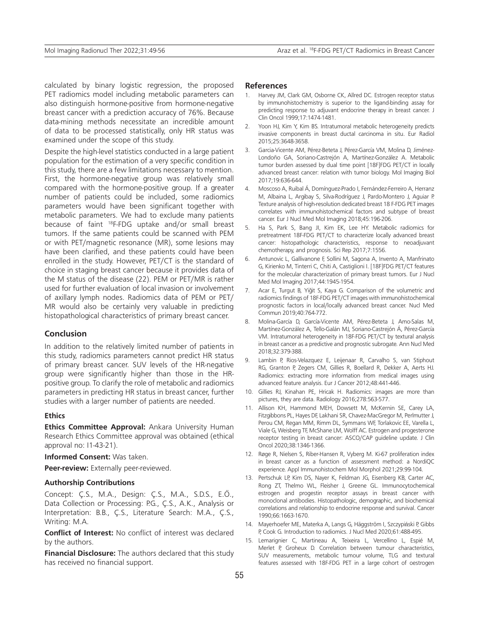calculated by binary logistic regression, the proposed PET radiomics model including metabolic parameters can also distinguish hormone-positive from hormone-negative breast cancer with a prediction accuracy of 76%. Because data-mining methods necessitate an incredible amount of data to be processed statistically, only HR status was examined under the scope of this study.

Despite the high-level statistics conducted in a large patient population for the estimation of a very specific condition in this study, there are a few limitations necessary to mention. First, the hormone-negative group was relatively small compared with the hormone-positive group. If a greater number of patients could be included, some radiomics parameters would have been significant together with metabolic parameters. We had to exclude many patients because of faint <sup>18</sup>F-FDG uptake and/or small breast tumors. If the same patients could be scanned with PEM or with PET/magnetic resonance (MR), some lesions may have been clarified, and these patients could have been enrolled in the study. However, PET/CT is the standard of choice in staging breast cancer because it provides data of the M status of the disease (22). PEM or PET/MR is rather used for further evaluation of local invasion or involvement of axillary lymph nodes. Radiomics data of PEM or PET/ MR would also be certainly very valuable in predicting histopathological characteristics of primary breast cancer.

#### **Conclusion**

In addition to the relatively limited number of patients in this study, radiomics parameters cannot predict HR status of primary breast cancer. SUV levels of the HR-negative group were significantly higher than those in the HRpositive group. To clarify the role of metabolic and radiomics parameters in predicting HR status in breast cancer, further studies with a larger number of patients are needed.

### **Ethics**

**Ethics Committee Approval:** Ankara University Human Research Ethics Committee approval was obtained (ethical approval no: I1-43-21).

**Informed Consent:** Was taken.

**Peer-review:** Externally peer-reviewed.

#### **Authorship Contributions**

Concept: Ç.S., M.A., Design: Ç.S., M.A., S.D.S., E.Ö., Data Collection or Processing: P.G., Ç.S., A.K., Analysis or Interpretation: B.B., Ç.S., Literature Search: M.A., Ç.S., Writing: M.A.

**Conflict of Interest:** No conflict of interest was declared by the authors.

**Financial Disclosure:** The authors declared that this study has received no financial support.

#### **References**

- 1. Harvey JM, Clark GM, Osborne CK, Allred DC. Estrogen receptor status by immunohistochemistry is superior to the ligand-binding assay for predicting response to adjuvant endocrine therapy in breast cancer. J Clin Oncol 1999;17:1474-1481.
- 2. Yoon HJ, Kim Y, Kim BS. Intratumoral metabolic heterogeneity predicts invasive components in breast ductal carcinoma in situ. Eur Radiol 2015;25:3648-3658.
- 3. Garcia-Vicente AM, Pérez-Beteta J, Pérez-García VM, Molina D, Jiménez-Londoño GA, Soriano-Castrejón A, Martínez-González A. Metabolic tumor burden assessed by dual time point [18F]FDG PET/CT in locally advanced breast cancer: relation with tumor biology. Mol Imaging Biol 2017;19:636-644.
- 4. Moscoso A, Ruibal Á, Domínguez-Prado I, Fernández-Ferreiro A, Herranz M, Albaina L, Argibay S, Silva-Rodríguez J, Pardo-Montero J, Aguiar P. Texture analysis of high-resolution dedicated breast 18 F-FDG PET images correlates with immunohistochemical factors and subtype of breast cancer. Eur J Nucl Med Mol Imaging 2018;45:196-206.
- 5. Ha S, Park S, Bang JI, Kim EK, Lee HY. Metabolic radiomics for pretreatment 18F-FDG PET/CT to characterize locally advanced breast cancer: histopathologic characteristics, response to neoadjuvant chemotherapy, and prognosis. Sci Rep 2017;7:1556.
- Antunovic L, Gallivanone F, Sollini M, Sagona A, Invento A, Manfrinato G, Kirienko M, Tinterri C, Chiti A, Castiglioni I. [18F]FDG PET/CT features for the molecular characterization of primary breast tumors. Eur J Nucl Med Mol Imaging 2017;44:1945-1954.
- 7. Acar E, Turgut B, Yiğit S, Kaya G. Comparison of the volumetric and radiomics findings of 18F-FDG PET/CT images with immunohistochemical prognostic factors in local/locally advanced breast cancer. Nucl Med Commun 2019;40:764-772.
- 8. Molina-García D, García-Vicente AM, Pérez-Beteta J, Amo-Salas M, Martínez-González A, Tello-Galán MJ, Soriano-Castrejón Á, Pérez-García VM. Intratumoral heterogeneity in 18F-FDG PET/CT by textural analysis in breast cancer as a predictive and prognostic subrogate. Ann Nucl Med 2018;32:379-388.
- 9. Lambin P, Rios-Velazquez E, Leijenaar R, Carvalho S, van Stiphout RG, Granton P, Zegers CM, Gillies R, Boellard R, Dekker A, Aerts HJ. Radiomics: extracting more information from medical images using advanced feature analysis. Eur J Cancer 2012;48:441-446.
- 10. Gillies RJ, Kinahan PE, Hricak H. Radiomics: images are more than pictures, they are data. Radiology 2016;278:563-577.
- 11. Allison KH, Hammond MEH, Dowsett M, McKernin SE, Carey LA, Fitzgibbons PL, Hayes DF, Lakhani SR, Chavez-MacGregor M, Perlmutter J, Perou CM, Regan MM, Rimm DL, Symmans WF, Torlakovic EE, Varella L, Viale G, Weisberg TF, McShane LM, Wolff AC. Estrogen and progesterone receptor testing in breast cancer: ASCO/CAP guideline update. J Clin Oncol 2020;38:1346-1366.
- 12. Røge R, Nielsen S, Riber-Hansen R, Vyberg M. Ki-67 proliferation index in breast cancer as a function of assessment method: a NordiQC experience. Appl Immunohistochem Mol Morphol 2021;29:99-104.
- 13. Pertschuk LP, Kim DS, Nayer K, Feldman JG, Eisenberg KB, Carter AC, Rong ZT, Thelmo WL, Fleisher J, Greene GL. Immunocytochemical estrogen and progestin receptor assays in breast cancer with monoclonal antibodies. Histopathologic, demographic, and biochemical correlations and relationship to endocrine response and survival. Cancer 1990;66:1663-1670.
- 14. Mayerhoefer ME, Materka A, Langs G, Häggström I, Szczypiński P, Gibbs P, Cook G. Introduction to radiomics. J Nucl Med 2020;61:488-495.
- 15. Lemarignier C, Martineau A, Teixeira L, Vercellino L, Espié M, Merlet P, Groheux D. Correlation between tumour characteristics, SUV measurements, metabolic tumour volume, TLG and textural features assessed with 18F-FDG PET in a large cohort of oestrogen